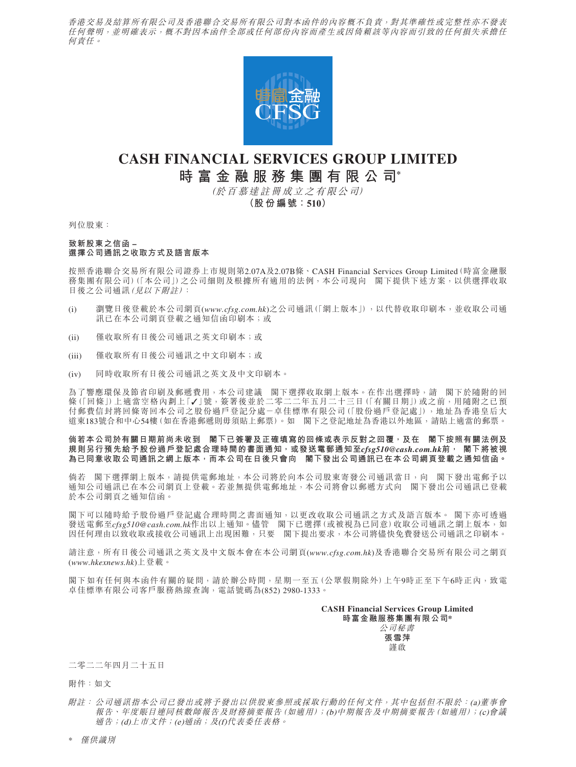香港交易及結算所有限公司及香港聯合交易所有限公司對本函件的內容概不負責,對其準確性或完整性亦不發表 任何聲明,並明確表示,概不對因本函件全部或任何部份內容而產生或因倚賴該等內容而引致的任何損失承擔任 何責任。



# **CASH FINANCIAL SERVICES GROUP LIMITED 時富金融服務集團有限公司\***

(於百慕達註冊成立之有限公司)

**(股份編號:510)**

列位股東:

### **致新股東之信函 – 選擇公司通訊之收取方式及語言版本**

按照香港聯合交易所有限公司證券上市規則第2.07A及2.07B條、CASH Financial Services Group Limited(時富金融服 務集團有限公司)(「本公司」)之公司細則及根據所有適用的法例,本公司現向 閣下提供下述方案,以供選擇收取 日後之公司通訊(見以下附註):

- (i) 瀏覽日後登載於本公司網頁(*www.cfsg.com.hk*)之公司通訊(「網上版本」),以代替收取印刷本,並收取公司通 訊已在本公司網頁登載之通知信函印刷本;或
- (ii) 僅收取所有日後公司通訊之英文印刷本;或
- (iii) 僅收取所有日後公司通訊之中文印刷本;或
- (iv) 同時收取所有日後公司通訊之英文及中文印刷本。

為了響應環保及節省印刷及郵遞費用,本公司建議 閣下選擇收取網上版本。在作出選擇時,請 閣下於隨附的回 條(「回條」)上適當空格內劃上「✓」號,簽署後並於二零二二年五月二十三日(「有關日期」)或之前,用隨附之已預 付郵費信封將回條寄回本公司之股份過戶登記分處-卓佳標準有限公司(「股份過戶登記處」),地址為香港皇后大 道東183號合和中心54樓(如在香港郵遞則毋須貼上郵票)。如 閣下之登記地址為香港以外地區,請貼上適當的郵票。

## **倘若本公司於有關日期前尚未收到 閣下已簽署及正確填寫的回條或表示反對之回覆,及在 閣下按照有關法例及 規則另行預先給予股份過戶登記處合理時間的書面通知,或發送電郵通知至***cfsg510@cash.com.hk***前, 閣下將被視 為已同意收取公司通訊之網上版本,而本公司在日後只會向 閣下發出公司通訊已在本公司網頁登載之通知信函。**

倘若 閣下選擇網上版本,請提供電郵地址,本公司將於向本公司股東寄發公司通訊當日,向 閣下發出電郵予以 通知公司通訊已在本公司網頁上登載。若並無提供電郵地址,本公司將會以郵遞方式向 閣下發出公司通訊已登載 於本公司網頁之通知信函。

閣下可以隨時給予股份過戶登記處合理時間之書面通知,以更改收取公司通訊之方式及語言版本。 閣下亦可透過 發送電郵至cfsg510@cash.com.hk作出以上通知。儘管 閣下已選擇(或被視為已同意)收取公司通訊之網上版本,如 因任何理由以致收取或接收公司通訊上出現困難,只要 閣下提出要求,本公司將儘快免費發送公司通訊之印刷本。

請注意,所有日後公司通訊之英文及中文版本會在本公司網頁(*www.cfsg.com.hk*)及香港聯合交易所有限公司之網頁 (*www.hkexnews.hk*)上登載。

閣下如有任何與本函件有關的疑問,請於辦公時間,星期一至五(公眾假期除外)上午9時正至下午6時正內,致電 卓佳標準有限公司客戶服務熱線查詢,電話號碼為(852) 2980-1333。

> **CASH Financial Services Group Limited 時富金融服務集團有限公司\*** 公司秘書 **張雪萍**

謹啟

二零二二年四月二十五日

附件:如文

\* 僅供識別

附註: 公司通訊指本公司已發出或將予發出以供股東參照或採取行動的任何文件,其中包括但不限於:(a)董事會 報告、年度賬目連同核數師報告及財務摘要報告(如適用);(b)中期報告及中期摘要報告(如適用);(c)會議 通告;(d)上市文件;(e)通函;及(f)代表委任表格。